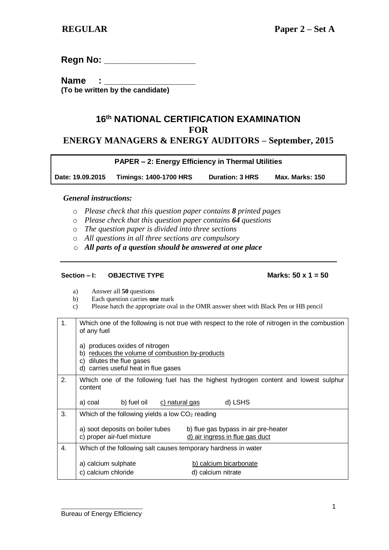**Regn No: \_\_\_\_\_\_\_\_\_\_\_\_\_\_\_\_\_\_**

**Name : (To be written by the candidate)**

# **16th NATIONAL CERTIFICATION EXAMINATION FOR ENERGY MANAGERS & ENERGY AUDITORS – September, 2015**

|                  | <b>PAPER - 2: Energy Efficiency in Thermal Utilities</b> |                        |                        |  |
|------------------|----------------------------------------------------------|------------------------|------------------------|--|
| Date: 19.09.2015 | <b>Timings: 1400-1700 HRS</b>                            | <b>Duration: 3 HRS</b> | <b>Max. Marks: 150</b> |  |

## *General instructions:*

- o *Please check that this question paper contains 8 printed pages*
- o *Please check that this question paper contains 64 questions*
- o *The question paper is divided into three sections*
- o *All questions in all three sections are compulsory*
- o *All parts of a question should be answered at one place*

### **Section – I: OBJECTIVE TYPE Marks: 50 x 1 = 50**

- a) Answer all **50** questions
- b) Each question carries **one** mark
- c) Please hatch the appropriate oval in the OMR answer sheet with Black Pen or HB pencil

| 1. | Which one of the following is not true with respect to the role of nitrogen in the combustion<br>of any fuel                                                 |  |  |
|----|--------------------------------------------------------------------------------------------------------------------------------------------------------------|--|--|
|    | a) produces oxides of nitrogen<br>reduces the volume of combustion by-products<br>b)<br>dilutes the flue gases<br>C)<br>d) carries useful heat in flue gases |  |  |
| 2. | Which one of the following fuel has the highest hydrogen content and lowest sulphur<br>content                                                               |  |  |
|    | d) LSHS<br>a) coal<br>b) fuel oil<br>c) natural gas                                                                                                          |  |  |
| 3. | Which of the following yields a low $CO2$ reading                                                                                                            |  |  |
|    | a) soot deposits on boiler tubes<br>b) flue gas bypass in air pre-heater<br>c) proper air-fuel mixture<br>d) air ingress in flue gas duct                    |  |  |
| 4. | Which of the following salt causes temporary hardness in water                                                                                               |  |  |
|    | a) calcium sulphate<br>b) calcium bicarbonate<br>c) calcium chloride<br>d) calcium nitrate                                                                   |  |  |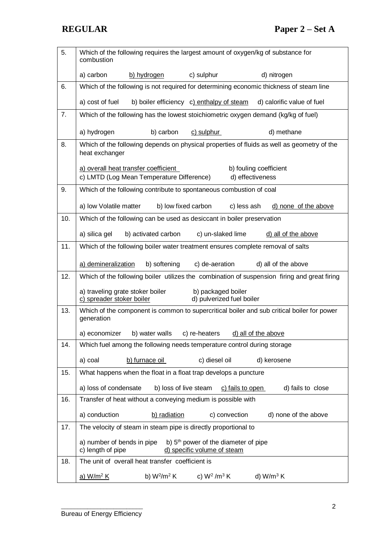| 5.  | Which of the following requires the largest amount of oxygen/kg of substance for<br>combustion                                     |  |  |
|-----|------------------------------------------------------------------------------------------------------------------------------------|--|--|
|     | a) carbon<br>c) sulphur<br>d) nitrogen<br>b) hydrogen                                                                              |  |  |
| 6.  | Which of the following is not required for determining economic thickness of steam line                                            |  |  |
|     | a) cost of fuel<br>b) boiler efficiency c) enthalpy of steam<br>d) calorific value of fuel                                         |  |  |
| 7.  | Which of the following has the lowest stoichiometric oxygen demand (kg/kg of fuel)                                                 |  |  |
|     | a) hydrogen<br>b) carbon<br>c) sulphur<br>d) methane                                                                               |  |  |
| 8.  | Which of the following depends on physical properties of fluids as well as geometry of the<br>heat exchanger                       |  |  |
|     | a) overall heat transfer coefficient<br>b) fouling coefficient<br>c) LMTD (Log Mean Temperature Difference)<br>d) effectiveness    |  |  |
| 9.  | Which of the following contribute to spontaneous combustion of coal                                                                |  |  |
|     | a) low Volatile matter<br>b) low fixed carbon<br>c) less ash<br>d) none of the above                                               |  |  |
| 10. | Which of the following can be used as desiccant in boiler preservation                                                             |  |  |
|     | c) un-slaked lime<br>a) silica gel<br>b) activated carbon<br>d) all of the above                                                   |  |  |
| 11. | Which of the following boiler water treatment ensures complete removal of salts                                                    |  |  |
|     | a) demineralization<br>b) softening<br>c) de-aeration<br>d) all of the above                                                       |  |  |
| 12. | Which of the following boiler utilizes the combination of suspension firing and great firing                                       |  |  |
|     | a) traveling grate stoker boiler<br>b) packaged boiler<br>d) pulverized fuel boiler<br>c) spreader stoker boiler                   |  |  |
| 13. | Which of the component is common to supercritical boiler and sub critical boiler for power<br>generation                           |  |  |
|     | a) economizer<br>c) re-heaters<br>d) all of the above<br>b) water walls                                                            |  |  |
| 14. | Which fuel among the following needs temperature control during storage                                                            |  |  |
|     | b) furnace oil<br>c) diesel oil<br>a) coal<br>d) kerosene                                                                          |  |  |
| 15. | What happens when the float in a float trap develops a puncture                                                                    |  |  |
|     | a) loss of condensate<br>b) loss of live steam<br>d) fails to close<br>c) fails to open                                            |  |  |
| 16. | Transfer of heat without a conveying medium is possible with                                                                       |  |  |
|     | a) conduction<br>c) convection<br>b) radiation<br>d) none of the above                                                             |  |  |
| 17. | The velocity of steam in steam pipe is directly proportional to                                                                    |  |  |
|     | b) 5 <sup>th</sup> power of the diameter of pipe<br>a) number of bends in pipe<br>c) length of pipe<br>d) specific volume of steam |  |  |
| 18. | The unit of overall heat transfer coefficient is                                                                                   |  |  |
|     | c) $W^2/m^3 K$<br>b) $W^2/m^2 K$<br>d) $W/m^3 K$<br><u>a) W/m<sup>2</sup> K</u>                                                    |  |  |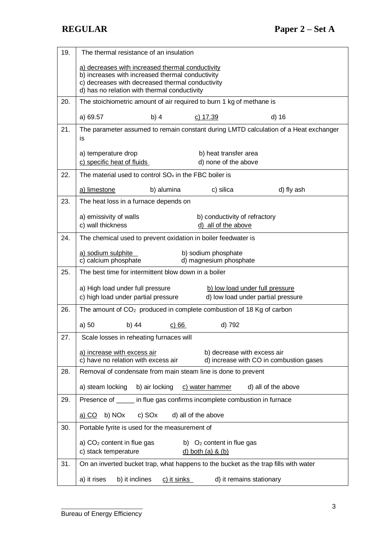| 19. | The thermal resistance of an insulation                                                                                                         |  |  |
|-----|-------------------------------------------------------------------------------------------------------------------------------------------------|--|--|
|     |                                                                                                                                                 |  |  |
|     | a) decreases with increased thermal conductivity<br>b) increases with increased thermal conductivity                                            |  |  |
|     | c) decreases with decreased thermal conductivity<br>d) has no relation with thermal conductivity                                                |  |  |
| 20. | The stoichiometric amount of air required to burn 1 kg of methane is                                                                            |  |  |
|     | a) 69.57<br>b) $4$<br>c) 17.39<br>d) 16                                                                                                         |  |  |
| 21. | The parameter assumed to remain constant during LMTD calculation of a Heat exchanger                                                            |  |  |
|     | is                                                                                                                                              |  |  |
|     | a) temperature drop<br>b) heat transfer area                                                                                                    |  |  |
|     | c) specific heat of fluids<br>d) none of the above                                                                                              |  |  |
| 22. | The material used to control $SOx$ in the FBC boiler is                                                                                         |  |  |
|     | a) limestone<br>b) alumina<br>c) silica<br>d) fly ash                                                                                           |  |  |
| 23. | The heat loss in a furnace depends on                                                                                                           |  |  |
|     | a) emissivity of walls<br>b) conductivity of refractory                                                                                         |  |  |
|     | c) wall thickness<br>d) all of the above                                                                                                        |  |  |
| 24. | The chemical used to prevent oxidation in boiler feedwater is                                                                                   |  |  |
|     | a) sodium sulphite<br>b) sodium phosphate                                                                                                       |  |  |
|     | c) calcium phosphate<br>d) magnesium phosphate                                                                                                  |  |  |
| 25. | The best time for intermittent blow down in a boiler                                                                                            |  |  |
|     | a) High load under full pressure<br>b) low load under full pressure                                                                             |  |  |
|     | c) high load under partial pressure<br>d) low load under partial pressure                                                                       |  |  |
| 26. | The amount of $CO2$ produced in complete combustion of 18 Kg of carbon                                                                          |  |  |
|     | a) 50<br>b) 44<br>d) 792<br>c) 66                                                                                                               |  |  |
| 27. | Scale losses in reheating furnaces will                                                                                                         |  |  |
|     | a) increase with excess air<br>b) decrease with excess air                                                                                      |  |  |
| 28. | c) have no relation with excess air<br>d) increase with CO in combustion gases<br>Removal of condensate from main steam line is done to prevent |  |  |
|     |                                                                                                                                                 |  |  |
|     | b) air locking<br>a) steam locking<br>c) water hammer<br>d) all of the above                                                                    |  |  |
| 29. | Presence of ______ in flue gas confirms incomplete combustion in furnace                                                                        |  |  |
|     | b) NOx<br>c) SOx<br>d) all of the above<br>a) CO                                                                                                |  |  |
| 30. | Portable fyrite is used for the measurement of                                                                                                  |  |  |
|     | a) $CO2$ content in flue gas<br>b) $O2$ content in flue gas                                                                                     |  |  |
|     | c) stack temperature<br>$d)$ both (a) & (b)                                                                                                     |  |  |
| 31. | On an inverted bucket trap, what happens to the bucket as the trap fills with water                                                             |  |  |
|     | a) it rises<br>b) it inclines<br>c) it sinks<br>d) it remains stationary                                                                        |  |  |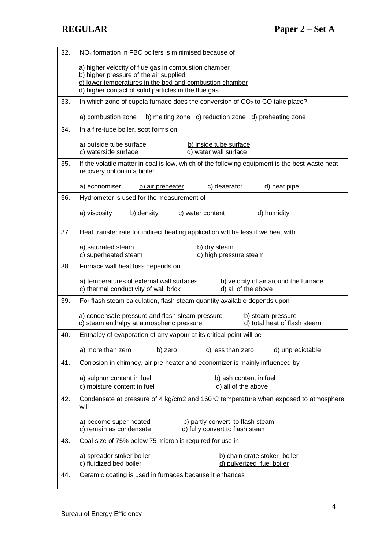| 32. | $NOx$ formation in FBC boilers is minimised because of                                                                                             |  |  |
|-----|----------------------------------------------------------------------------------------------------------------------------------------------------|--|--|
|     | a) higher velocity of flue gas in combustion chamber                                                                                               |  |  |
|     | b) higher pressure of the air supplied<br>c) lower temperatures in the bed and combustion chamber                                                  |  |  |
|     | d) higher contact of solid particles in the flue gas                                                                                               |  |  |
| 33. | In which zone of cupola furnace does the conversion of CO <sub>2</sub> to CO take place?                                                           |  |  |
|     | a) combustion zone<br>b) melting zone c) reduction zone d) preheating zone                                                                         |  |  |
| 34. | In a fire-tube boiler, soot forms on                                                                                                               |  |  |
|     | a) outside tube surface<br>b) inside tube surface<br>d) water wall surface<br>c) waterside surface                                                 |  |  |
| 35. | If the volatile matter in coal is low, which of the following equipment is the best waste heat<br>recovery option in a boiler                      |  |  |
|     | a) economiser<br>b) air preheater<br>c) deaerator<br>d) heat pipe                                                                                  |  |  |
| 36. | Hydrometer is used for the measurement of                                                                                                          |  |  |
|     | d) humidity<br>a) viscosity<br>b) density<br>c) water content                                                                                      |  |  |
| 37. | Heat transfer rate for indirect heating application will be less if we heat with                                                                   |  |  |
|     | a) saturated steam<br>b) dry steam<br>c) superheated steam<br>d) high pressure steam                                                               |  |  |
| 38. | Furnace wall heat loss depends on                                                                                                                  |  |  |
|     | a) temperatures of external wall surfaces<br>b) velocity of air around the furnace<br>c) thermal conductivity of wall brick<br>d) all of the above |  |  |
| 39. | For flash steam calculation, flash steam quantity available depends upon                                                                           |  |  |
|     | a) condensate pressure and flash steam pressure<br>b) steam pressure<br>c) steam enthalpy at atmospheric pressure<br>d) total heat of flash steam  |  |  |
| 40. | Enthalpy of evaporation of any vapour at its critical point will be                                                                                |  |  |
|     | a) more than zero<br>c) less than zero<br>d) unpredictable<br>b) zero                                                                              |  |  |
| 41. | Corrosion in chimney, air pre-heater and economizer is mainly influenced by                                                                        |  |  |
|     | a) sulphur content in fuel<br>b) ash content in fuel                                                                                               |  |  |
|     | c) moisture content in fuel<br>d) all of the above                                                                                                 |  |  |
| 42. | Condensate at pressure of 4 kg/cm2 and 160°C temperature when exposed to atmosphere<br>will                                                        |  |  |
|     | a) become super heated<br>b) partly convert to flash steam<br>c) remain as condensate<br>d) fully convert to flash steam                           |  |  |
| 43. | Coal size of 75% below 75 micron is required for use in                                                                                            |  |  |
|     | a) spreader stoker boiler<br>b) chain grate stoker boiler<br>c) fluidized bed boiler<br>d) pulverized fuel boiler                                  |  |  |
| 44. | Ceramic coating is used in furnaces because it enhances                                                                                            |  |  |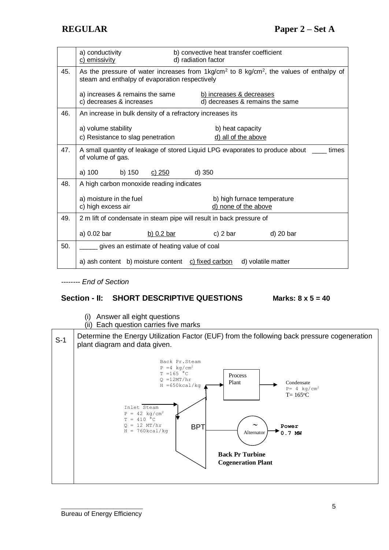|     | a) conductivity<br>c) emissivity                                                                                                                                | b) convective heat transfer coefficient<br>d) radiation factor                        |  |
|-----|-----------------------------------------------------------------------------------------------------------------------------------------------------------------|---------------------------------------------------------------------------------------|--|
| 45. | As the pressure of water increases from $1\text{kg/cm}^2$ to 8 kg/cm <sup>2</sup> , the values of enthalpy of<br>steam and enthalpy of evaporation respectively |                                                                                       |  |
|     | a) increases & remains the same<br>c) decreases & increases                                                                                                     | b) increases & decreases<br>d) decreases & remains the same                           |  |
| 46. | An increase in bulk density of a refractory increases its                                                                                                       |                                                                                       |  |
|     | a) volume stability<br>c) Resistance to slag penetration                                                                                                        | b) heat capacity<br>d) all of the above                                               |  |
| 47. | of volume of gas.                                                                                                                                               | A small quantity of leakage of stored Liquid LPG evaporates to produce about<br>times |  |
|     | a) 100<br>b) 150<br>c) 250                                                                                                                                      | $d)$ 350                                                                              |  |
| 48. | A high carbon monoxide reading indicates                                                                                                                        |                                                                                       |  |
|     | a) moisture in the fuel<br>c) high excess air                                                                                                                   | b) high furnace temperature<br>d) none of the above                                   |  |
| 49. | 2 m lift of condensate in steam pipe will result in back pressure of                                                                                            |                                                                                       |  |
|     | a) 0.02 bar<br>b) $0.2$ bar                                                                                                                                     | c) $2 \text{ bar}$<br>d) 20 bar                                                       |  |
| 50. | gives an estimate of heating value of coal                                                                                                                      |                                                                                       |  |
|     | a) ash content b) moisture content c) fixed carbon                                                                                                              | d) volatile matter                                                                    |  |

*-------- End of Section*

## **Section - II: SHORT DESCRIPTIVE QUESTIONS Marks: 8 x 5 = 40**

- (i) Answer all eight questions
- (ii) Each question carries five marks

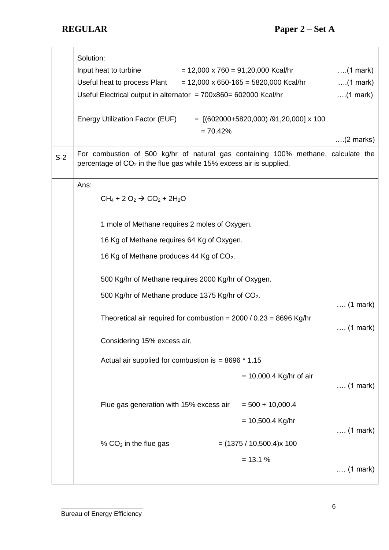|       | Solution:<br>Input heat to turbine<br>Useful heat to process Plant<br>Useful Electrical output in alternator = $700x860 = 602000$ Kcal/hr                            | $= 12,000 \times 760 = 91,20,000$ Kcal/hr<br>$= 12,000 \times 650 - 165 = 5820,000$ Kcal/hr | $\dots$ (1 mark)<br>$\dots(1$ mark)<br>$\ldots$ (1 mark) |
|-------|----------------------------------------------------------------------------------------------------------------------------------------------------------------------|---------------------------------------------------------------------------------------------|----------------------------------------------------------|
|       | Energy Utilization Factor (EUF)                                                                                                                                      | $=$ [(602000+5820,000) /91,20,000] x 100<br>$= 70.42%$                                      | $\ldots$ (2 marks)                                       |
| $S-2$ | For combustion of 500 kg/hr of natural gas containing 100% methane, calculate the<br>percentage of CO <sub>2</sub> in the flue gas while 15% excess air is supplied. |                                                                                             |                                                          |
|       | Ans:<br>$CH_4 + 2 O_2 \rightarrow CO_2 + 2H_2O$                                                                                                                      |                                                                                             |                                                          |
|       | 1 mole of Methane requires 2 moles of Oxygen.                                                                                                                        |                                                                                             |                                                          |
|       | 16 Kg of Methane requires 64 Kg of Oxygen.                                                                                                                           |                                                                                             |                                                          |
|       | 16 Kg of Methane produces 44 Kg of CO2.                                                                                                                              |                                                                                             |                                                          |
|       | 500 Kg/hr of Methane requires 2000 Kg/hr of Oxygen.                                                                                                                  |                                                                                             |                                                          |
|       | 500 Kg/hr of Methane produce 1375 Kg/hr of CO <sub>2</sub> .                                                                                                         |                                                                                             | $\ldots$ (1 mark)                                        |
|       | Theoretical air required for combustion = $2000 / 0.23 = 8696$ Kg/hr                                                                                                 |                                                                                             | $\ldots$ (1 mark)                                        |
|       | Considering 15% excess air,                                                                                                                                          |                                                                                             |                                                          |
|       | Actual air supplied for combustion is = $8696 * 1.15$                                                                                                                |                                                                                             |                                                          |
|       |                                                                                                                                                                      | $= 10,000.4$ Kg/hr of air                                                                   | $(1 mark)$                                               |
|       | Flue gas generation with 15% excess air                                                                                                                              | $= 500 + 10,000.4$                                                                          |                                                          |
|       |                                                                                                                                                                      | $= 10,500.4$ Kg/hr                                                                          | $(1 mark)$                                               |
|       | % $CO2$ in the flue gas                                                                                                                                              | $=$ (1375 / 10,500.4) $\times$ 100                                                          |                                                          |
|       |                                                                                                                                                                      | $= 13.1 %$                                                                                  | $\ldots$ (1 mark)                                        |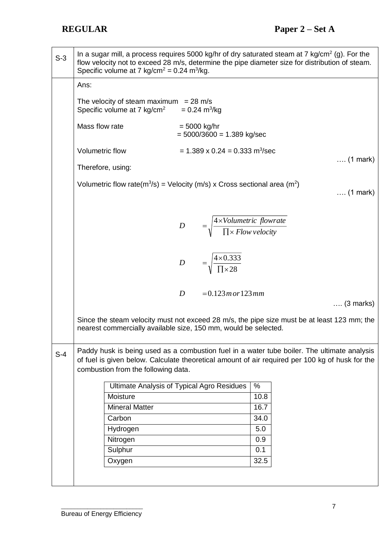S-3 In a sugar mill, a process requires 5000 kg/hr of dry saturated steam at 7 kg/cm<sup>2</sup> (g). For the flow velocity not to exceed 28 m/s, determine the pipe diameter size for distribution of steam. Specific volume at 7 kg/cm<sup>2</sup> =  $0.24$  m<sup>3</sup>/kg. Ans: The velocity of steam maximum =  $28 \text{ m/s}$ Specific volume at 7 kg/cm<sup>2</sup>  $= 0.24 \text{ m}^3/\text{kg}$ Mass flow rate  $= 5000 \text{ ka/hr}$  $= 5000/3600 = 1.389$  kg/sec Volumetric flow  $= 1.389 \times 0.24 = 0.333 \text{ m}^3/\text{sec}$ …. (1 mark) Therefore, using: Volumetric flow rate(m<sup>3</sup>/s) = Velocity (m/s) x Cross sectional area (m<sup>2</sup>) …. (1 mark) *D*  $= 0.123$  *m* or  $123$  *mm D Flowvelocity*  $D = \frac{4 \times Volumetric \ flow rate}{2}$ 28 4×0.333 П×  $=$   $\frac{4 \times}{4 \times}$ П×  $=$   $\frac{4 \times}{4 \times 4}$ …. (3 marks) Since the steam velocity must not exceed 28 m/s, the pipe size must be at least 123 mm; the nearest commercially available size, 150 mm, would be selected*.* S-4 Paddy husk is being used as a combustion fuel in a water tube boiler. The ultimate analysis of fuel is given below. Calculate theoretical amount of air required per 100 kg of husk for the combustion from the following data. Ultimate Analysis of Typical Agro Residues | % Moisture 10.8 Mineral Matter 16.7 Carbon 34.0 Hydrogen 5.0 Nitrogen 0.9 Sulphur 0.1 Oxygen 32.5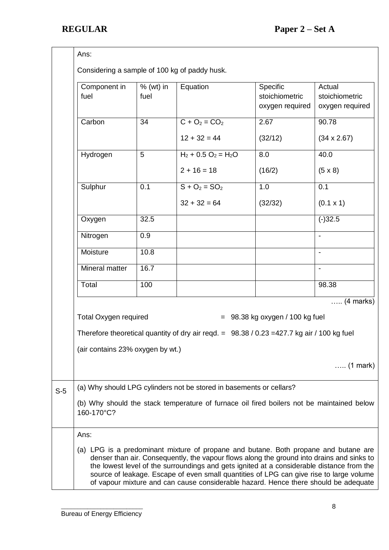|       | Ans:<br>Considering a sample of 100 kg of paddy husk.                                                                                                                                                                                                                                                                                                                                                                                                           |                     |                                                                     |                                               |                                             |
|-------|-----------------------------------------------------------------------------------------------------------------------------------------------------------------------------------------------------------------------------------------------------------------------------------------------------------------------------------------------------------------------------------------------------------------------------------------------------------------|---------------------|---------------------------------------------------------------------|-----------------------------------------------|---------------------------------------------|
|       | Component in<br>fuel                                                                                                                                                                                                                                                                                                                                                                                                                                            | $%$ (wt) in<br>fuel | Equation                                                            | Specific<br>stoichiometric<br>oxygen required | Actual<br>stoichiometric<br>oxygen required |
|       | Carbon                                                                                                                                                                                                                                                                                                                                                                                                                                                          | 34                  | $C + O_2 = CO_2$                                                    | 2.67                                          | 90.78                                       |
|       |                                                                                                                                                                                                                                                                                                                                                                                                                                                                 |                     | $12 + 32 = 44$                                                      | (32/12)                                       | $(34 \times 2.67)$                          |
|       | Hydrogen                                                                                                                                                                                                                                                                                                                                                                                                                                                        | 5                   | $H_2$ + 0.5 O <sub>2</sub> = H <sub>2</sub> O                       | 8.0                                           | 40.0                                        |
|       |                                                                                                                                                                                                                                                                                                                                                                                                                                                                 |                     | $2 + 16 = 18$                                                       | (16/2)                                        | $(5 \times 8)$                              |
|       | Sulphur                                                                                                                                                                                                                                                                                                                                                                                                                                                         | 0.1                 | $S + O_2 = SO_2$                                                    | 1.0                                           | 0.1                                         |
|       |                                                                                                                                                                                                                                                                                                                                                                                                                                                                 |                     | $32 + 32 = 64$                                                      | (32/32)                                       | $(0.1 \times 1)$                            |
|       | Oxygen                                                                                                                                                                                                                                                                                                                                                                                                                                                          | 32.5                |                                                                     |                                               | $(-)32.5$                                   |
|       | Nitrogen                                                                                                                                                                                                                                                                                                                                                                                                                                                        | 0.9                 |                                                                     |                                               | $\overline{\phantom{a}}$                    |
|       | Moisture                                                                                                                                                                                                                                                                                                                                                                                                                                                        | 10.8                |                                                                     |                                               |                                             |
|       | Mineral matter                                                                                                                                                                                                                                                                                                                                                                                                                                                  | 16.7                |                                                                     |                                               |                                             |
|       | Total                                                                                                                                                                                                                                                                                                                                                                                                                                                           | 100                 |                                                                     |                                               | 98.38                                       |
|       |                                                                                                                                                                                                                                                                                                                                                                                                                                                                 |                     |                                                                     |                                               | $\ldots$ (4 marks)                          |
|       | <b>Total Oxygen required</b><br>$= 98.38$ kg oxygen / 100 kg fuel<br>Therefore theoretical quantity of dry air reqd. $= 98.38 / 0.23 = 427.7$ kg air / 100 kg fuel                                                                                                                                                                                                                                                                                              |                     |                                                                     |                                               |                                             |
|       |                                                                                                                                                                                                                                                                                                                                                                                                                                                                 |                     |                                                                     |                                               |                                             |
|       | (air contains 23% oxygen by wt.)                                                                                                                                                                                                                                                                                                                                                                                                                                |                     |                                                                     |                                               |                                             |
|       | $\ldots$ (1 mark)                                                                                                                                                                                                                                                                                                                                                                                                                                               |                     |                                                                     |                                               |                                             |
| $S-5$ |                                                                                                                                                                                                                                                                                                                                                                                                                                                                 |                     | (a) Why should LPG cylinders not be stored in basements or cellars? |                                               |                                             |
|       | (b) Why should the stack temperature of furnace oil fired boilers not be maintained below<br>160-170°C?                                                                                                                                                                                                                                                                                                                                                         |                     |                                                                     |                                               |                                             |
|       | Ans:                                                                                                                                                                                                                                                                                                                                                                                                                                                            |                     |                                                                     |                                               |                                             |
|       | (a) LPG is a predominant mixture of propane and butane. Both propane and butane are<br>denser than air. Consequently, the vapour flows along the ground into drains and sinks to<br>the lowest level of the surroundings and gets ignited at a considerable distance from the<br>source of leakage. Escape of even small quantities of LPG can give rise to large volume<br>of vapour mixture and can cause considerable hazard. Hence there should be adequate |                     |                                                                     |                                               |                                             |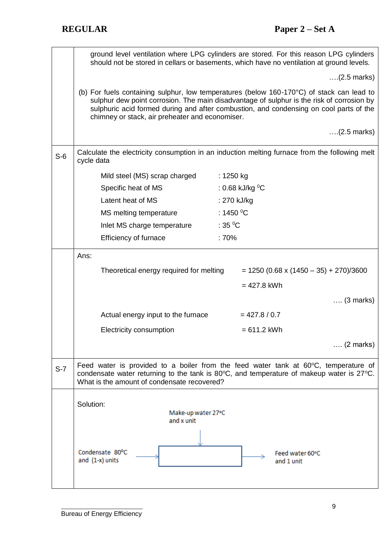|       | ground level ventilation where LPG cylinders are stored. For this reason LPG cylinders<br>should not be stored in cellars or basements, which have no ventilation at ground levels. |                                                                                                                                                                                                                                                                                  |  |
|-------|-------------------------------------------------------------------------------------------------------------------------------------------------------------------------------------|----------------------------------------------------------------------------------------------------------------------------------------------------------------------------------------------------------------------------------------------------------------------------------|--|
|       |                                                                                                                                                                                     | $(2.5 \text{ marks})$                                                                                                                                                                                                                                                            |  |
|       | chimney or stack, air preheater and economiser.                                                                                                                                     | (b) For fuels containing sulphur, low temperatures (below 160-170°C) of stack can lead to<br>sulphur dew point corrosion. The main disadvantage of sulphur is the risk of corrosion by<br>sulphuric acid formed during and after combustion, and condensing on cool parts of the |  |
|       |                                                                                                                                                                                     | $(2.5 \text{ marks})$                                                                                                                                                                                                                                                            |  |
| $S-6$ | cycle data                                                                                                                                                                          | Calculate the electricity consumption in an induction melting furnace from the following melt                                                                                                                                                                                    |  |
|       | Mild steel (MS) scrap charged                                                                                                                                                       | : $1250$ kg                                                                                                                                                                                                                                                                      |  |
|       | Specific heat of MS                                                                                                                                                                 | : 0.68 kJ/kg $^0C$                                                                                                                                                                                                                                                               |  |
|       | Latent heat of MS                                                                                                                                                                   | : 270 kJ/kg                                                                                                                                                                                                                                                                      |  |
|       | MS melting temperature                                                                                                                                                              | : 1450 $\mathrm{^0C}$                                                                                                                                                                                                                                                            |  |
|       | Inlet MS charge temperature                                                                                                                                                         | : 35 $\mathrm{^0C}$                                                                                                                                                                                                                                                              |  |
|       | Efficiency of furnace                                                                                                                                                               | :70%                                                                                                                                                                                                                                                                             |  |
|       | Ans:                                                                                                                                                                                |                                                                                                                                                                                                                                                                                  |  |
|       | Theoretical energy required for melting                                                                                                                                             | $= 1250 (0.68 \times (1450 - 35) + 270)/3600$                                                                                                                                                                                                                                    |  |
|       |                                                                                                                                                                                     | $= 427.8$ kWh                                                                                                                                                                                                                                                                    |  |
|       |                                                                                                                                                                                     | $\ldots$ (3 marks)                                                                                                                                                                                                                                                               |  |
|       | Actual energy input to the furnace                                                                                                                                                  | $= 427.8 / 0.7$                                                                                                                                                                                                                                                                  |  |
|       | Electricity consumption                                                                                                                                                             | $= 611.2$ kWh                                                                                                                                                                                                                                                                    |  |
|       |                                                                                                                                                                                     | $\ldots$ (2 marks)                                                                                                                                                                                                                                                               |  |
| $S-7$ | What is the amount of condensate recovered?                                                                                                                                         | Feed water is provided to a boiler from the feed water tank at $60^{\circ}$ C, temperature of<br>condensate water returning to the tank is $80^{\circ}$ C, and temperature of makeup water is $27^{\circ}$ C.                                                                    |  |
|       |                                                                                                                                                                                     |                                                                                                                                                                                                                                                                                  |  |
|       | Solution:<br>Make-up water 27°C<br>and x unit                                                                                                                                       |                                                                                                                                                                                                                                                                                  |  |
|       | Condensate 80°C<br>and $(1-x)$ units                                                                                                                                                | Feed water 60°C<br>and 1 unit                                                                                                                                                                                                                                                    |  |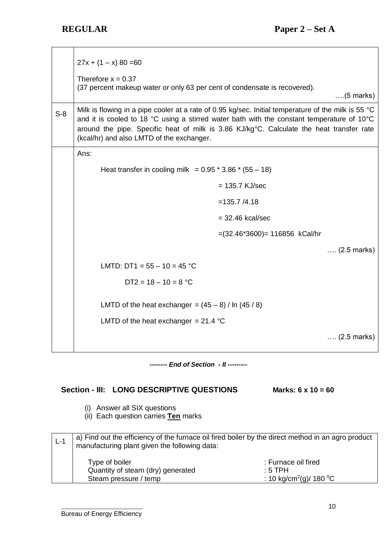|       | $27x + (1 - x) 80 = 60$<br>Therefore $x = 0.37$<br>(37 percent makeup water or only 63 per cent of condensate is recovered).                                                                                                                                                                                                               |                                  | $\dots(5$ marks)      |
|-------|--------------------------------------------------------------------------------------------------------------------------------------------------------------------------------------------------------------------------------------------------------------------------------------------------------------------------------------------|----------------------------------|-----------------------|
| $S-8$ | Milk is flowing in a pipe cooler at a rate of 0.95 kg/sec. Initial temperature of the milk is 55 °C<br>and it is cooled to 18 °C using a stirred water bath with the constant temperature of 10°C<br>around the pipe. Specific heat of milk is 3.86 KJ/kg°C. Calculate the heat transfer rate<br>(kcal/hr) and also LMTD of the exchanger. |                                  |                       |
|       | Ans:                                                                                                                                                                                                                                                                                                                                       |                                  |                       |
|       | Heat transfer in cooling milk = $0.95 * 3.86 * (55 - 18)$                                                                                                                                                                                                                                                                                  |                                  |                       |
|       |                                                                                                                                                                                                                                                                                                                                            | $= 135.7$ KJ/sec                 |                       |
|       |                                                                                                                                                                                                                                                                                                                                            | $= 135.7 / 4.18$                 |                       |
|       |                                                                                                                                                                                                                                                                                                                                            | $=$ 32.46 kcal/sec               |                       |
|       |                                                                                                                                                                                                                                                                                                                                            | $=(32.46*3600) = 116856$ kCal/hr |                       |
|       |                                                                                                                                                                                                                                                                                                                                            |                                  | $(2.5 \text{ marks})$ |
|       | LMTD: DT1 = $55 - 10 = 45$ °C                                                                                                                                                                                                                                                                                                              |                                  |                       |
|       | $DT2 = 18 - 10 = 8 °C$                                                                                                                                                                                                                                                                                                                     |                                  |                       |
|       | LMTD of the heat exchanger = $(45-8)$ / ln $(45/8)$                                                                                                                                                                                                                                                                                        |                                  |                       |
|       | LMTD of the heat exchanger = $21.4$ °C                                                                                                                                                                                                                                                                                                     |                                  |                       |
|       |                                                                                                                                                                                                                                                                                                                                            |                                  | $(2.5 \text{ marks})$ |

*-------- End of Section - II ---------*

# **Section - III: LONG DESCRIPTIVE QUESTIONS Marks: 6 x 10 = 60**

- (i) Answer all SIX questions
- (ii) Each question carries **Ten** marks

| $L-1$ | a) Find out the efficiency of the furnace oil fired boiler by the direct method in an agro product<br>manufacturing plant given the following data: |                                                                                       |  |
|-------|-----------------------------------------------------------------------------------------------------------------------------------------------------|---------------------------------------------------------------------------------------|--|
|       | Type of boiler<br>Quantity of steam (dry) generated<br>Steam pressure / temp                                                                        | : Furnace oil fired<br>$\pm 5$ TPH<br>: 10 kg/cm <sup>2</sup> (g)/ 180 <sup>o</sup> C |  |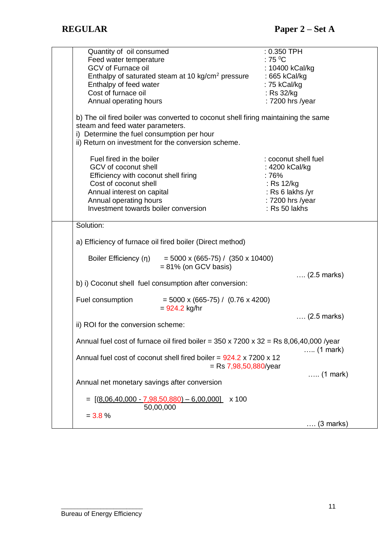| Quantity of oil consumed                                                                                            | $: 0.350$ TPH         |
|---------------------------------------------------------------------------------------------------------------------|-----------------------|
| Feed water temperature                                                                                              | $:75\,^0$ C           |
| <b>GCV of Furnace oil</b>                                                                                           | : 10400 kCal/kg       |
| Enthalpy of saturated steam at 10 kg/cm <sup>2</sup> pressure : 665 kCal/kg                                         |                       |
| Enthalpy of feed water                                                                                              | : 75 kCal/kg          |
| Cost of furnace oil                                                                                                 | : $Rs$ 32/ $kg$       |
| Annual operating hours                                                                                              | : 7200 hrs /year      |
|                                                                                                                     |                       |
| b) The oil fired boiler was converted to coconut shell firing maintaining the same                                  |                       |
| steam and feed water parameters.                                                                                    |                       |
| i) Determine the fuel consumption per hour                                                                          |                       |
| ii) Return on investment for the conversion scheme.                                                                 |                       |
|                                                                                                                     |                       |
| Fuel fired in the boiler                                                                                            | : coconut shell fuel  |
| GCV of coconut shell                                                                                                | : 4200 kCal/kg        |
| Efficiency with coconut shell firing                                                                                | : 76%                 |
| Cost of coconut shell                                                                                               | : Rs 12/kg            |
| Annual interest on capital                                                                                          | : Rs 6 lakhs /yr      |
| Annual operating hours                                                                                              | : 7200 hrs /year      |
| Investment towards boiler conversion                                                                                | : Rs 50 lakhs         |
|                                                                                                                     |                       |
| Solution:                                                                                                           |                       |
|                                                                                                                     |                       |
| a) Efficiency of furnace oil fired boiler (Direct method)                                                           |                       |
| Boiler Efficiency (n) = $5000 \times (665-75) / (350 \times 10400)$<br>$= 81\%$ (on GCV basis)                      |                       |
|                                                                                                                     | $(2.5 \text{ marks})$ |
| b) i) Coconut shell fuel consumption after conversion:                                                              |                       |
|                                                                                                                     |                       |
| Fuel consumption<br>$=$ 5000 x (665-75) / (0.76 x 4200)<br>$= 924.2$ kg/hr                                          |                       |
|                                                                                                                     | $(2.5 \text{ marks})$ |
| ii) ROI for the conversion scheme:                                                                                  |                       |
|                                                                                                                     |                       |
| Annual fuel cost of furnace oil fired boiler = $350 \times 7200 \times 32 =$ Rs 8,06,40,000 /year                   |                       |
| Annual fuel cost of coconut shell fired boiler = 924.2 x 7200 x 12                                                  | $(1 mark)$            |
| $=$ Rs 7,98,50,880/year                                                                                             |                       |
|                                                                                                                     | $\ldots$ (1 mark)     |
| Annual net monetary savings after conversion                                                                        |                       |
| $= \left[ \left( \underline{8,06,40,000} - \underline{7,98,50,880} \right) - \underline{6,00,000} \right]$<br>x 100 |                       |
| 50,00,000                                                                                                           |                       |
| $= 3.8 \%$                                                                                                          |                       |
|                                                                                                                     | $\ldots$ (3 marks)    |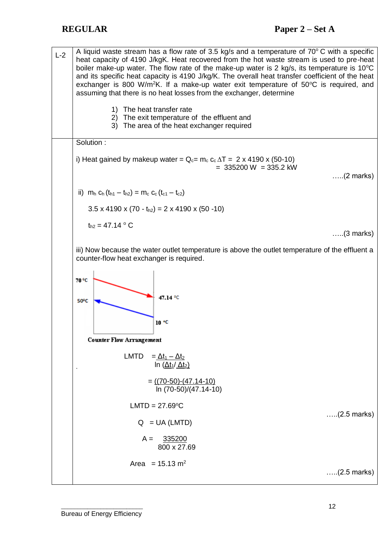A liquid waste stream has a flow rate of 3.5 kg/s and a temperature of  $70^{\circ}$ C with a specific  $L - 2$ heat capacity of 4190 J/kgK. Heat recovered from the hot waste stream is used to pre-heat boiler make-up water. The flow rate of the make-up water is 2 kg/s, its temperature is  $10^{\circ}$ C and its specific heat capacity is 4190 J/kg/K. The overall heat transfer coefficient of the heat exchanger is 800 W/m<sup>2</sup>K. If a make-up water exit temperature of  $50^{\circ}$ C is required, and assuming that there is no heat losses from the exchanger, determine 1) The heat transfer rate 2) The exit temperature of the effluent and 3) The area of the heat exchanger required Solution : i) Heat gained by makeup water =  $Q_c = m_c c_c \Delta T = 2 \times 4190 \times (50-10)$  $= 335200 \text{ W } = 335.2 \text{ kW}$ …..(2 marks) ii)  $m_h$  C<sub>h</sub> (t<sub>h1</sub> – t<sub>h2</sub>) =  $m_c$  C<sub>c</sub> (t<sub>c1</sub> – t<sub>c2</sub>)  $3.5 \times 4190 \times (70 - t_{h2}) = 2 \times 4190 \times (50 - 10)$  $t_{h2} = 47.14 °C$ …..(3 marks) iii) Now because the water outlet temperature is above the outlet temperature of the effluent a counter-flow heat exchanger is required. 70 °C 47.14 °C 50°C  $10<sup>°C</sup>$ **Counter Flow Arrangement** LMTD =  $\Delta t_1 - \Delta t_2$ ln  $(Δt<sub>1</sub>/Δt<sub>2</sub>)$  $= ((70-50)-(47.14-10))$  ln (70-50)/(47.14-10)  $LMTD = 27.69^{\circ}C$ …..(2.5 marks)  $Q = UA (LMTD)$  $A = 335200$  800 x 27.69 Area =  $15.13 \text{ m}^2$ …..(2.5 marks)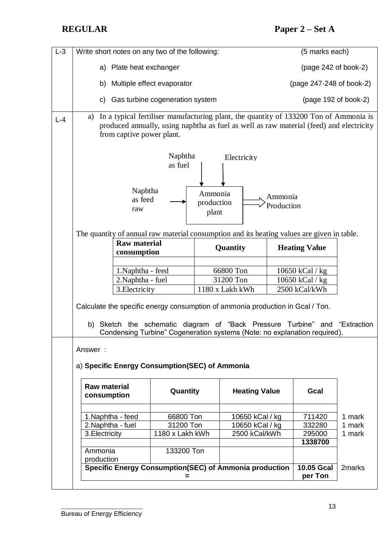| $L-3$   | Write short notes on any two of the following:                                                                                                                                                                                                  |                 |                 |                      |                                  | (5 marks each)           |        |  |  |  |
|---------|-------------------------------------------------------------------------------------------------------------------------------------------------------------------------------------------------------------------------------------------------|-----------------|-----------------|----------------------|----------------------------------|--------------------------|--------|--|--|--|
|         | a) Plate heat exchanger                                                                                                                                                                                                                         |                 |                 |                      |                                  | $(page 242 of book-2)$   |        |  |  |  |
|         | Multiple effect evaporator<br>b)                                                                                                                                                                                                                |                 |                 |                      |                                  | (page 247-248 of book-2) |        |  |  |  |
|         | Gas turbine cogeneration system<br>C)                                                                                                                                                                                                           |                 |                 |                      |                                  | (page 192 of book-2)     |        |  |  |  |
| $L - 4$ | In a typical fertiliser manufacturing plant, the quantity of 133200 Ton of Ammonia is<br>a)<br>produced annually, using naphtha as fuel as well as raw material (feed) and electricity<br>from captive power plant.                             |                 |                 |                      |                                  |                          |        |  |  |  |
|         | Naphtha<br>Electricity<br>as fuel                                                                                                                                                                                                               |                 |                 |                      |                                  |                          |        |  |  |  |
|         | Naphtha<br>Ammonia<br>Ammonia<br>as feed<br>production<br>Production<br>raw<br>plant                                                                                                                                                            |                 |                 |                      |                                  |                          |        |  |  |  |
|         | The quantity of annual raw material consumption and its heating values are given in table.<br><b>Raw material</b>                                                                                                                               |                 |                 |                      |                                  |                          |        |  |  |  |
|         |                                                                                                                                                                                                                                                 | consumption     |                 | Quantity             |                                  | <b>Heating Value</b>     |        |  |  |  |
|         | 1. Naphtha - feed                                                                                                                                                                                                                               |                 |                 | 66800 Ton            |                                  |                          |        |  |  |  |
|         | 2. Naphtha - fuel                                                                                                                                                                                                                               |                 | 31200 Ton       |                      | 10650 kCal / kg<br>10650 kCal/kg |                          |        |  |  |  |
|         | 3. Electricity                                                                                                                                                                                                                                  |                 | 1180 x Lakh kWh |                      | 2500 kCal/kWh                    |                          |        |  |  |  |
|         | Calculate the specific energy consumption of ammonia production in Gcal / Ton.<br>Sketch the schematic diagram of "Back Pressure Turbine" and<br>"Extraction<br>b)<br>Condensing Turbine" Cogeneration systems (Note: no explanation required). |                 |                 |                      |                                  |                          |        |  |  |  |
|         | Answer:<br>a) Specific Energy Consumption(SEC) of Ammonia                                                                                                                                                                                       |                 |                 |                      |                                  |                          |        |  |  |  |
|         | <b>Raw material</b><br>consumption                                                                                                                                                                                                              | Quantity        |                 | <b>Heating Value</b> |                                  | Gcal                     |        |  |  |  |
|         | 1. Naphtha - feed                                                                                                                                                                                                                               | 66800 Ton       | 10650 kCal / kg |                      |                                  | 711420                   | 1 mark |  |  |  |
|         | 2. Naphtha - fuel                                                                                                                                                                                                                               | 31200 Ton       | 10650 kCal / kg |                      |                                  | 332280                   | 1 mark |  |  |  |
|         | 3. Electricity                                                                                                                                                                                                                                  | 1180 x Lakh kWh | 2500 kCal/kWh   |                      |                                  | 295000                   | 1 mark |  |  |  |
|         |                                                                                                                                                                                                                                                 |                 |                 |                      |                                  | 1338700                  |        |  |  |  |
|         | Ammonia<br>production                                                                                                                                                                                                                           | 133200 Ton      |                 |                      |                                  |                          |        |  |  |  |
|         | Specific Energy Consumption(SEC) of Ammonia production<br><b>10.05 Gcal</b><br>2 <sub>marks</sub>                                                                                                                                               |                 |                 |                      |                                  |                          |        |  |  |  |
|         |                                                                                                                                                                                                                                                 | =               |                 |                      |                                  | per Ton                  |        |  |  |  |
|         |                                                                                                                                                                                                                                                 |                 |                 |                      |                                  |                          |        |  |  |  |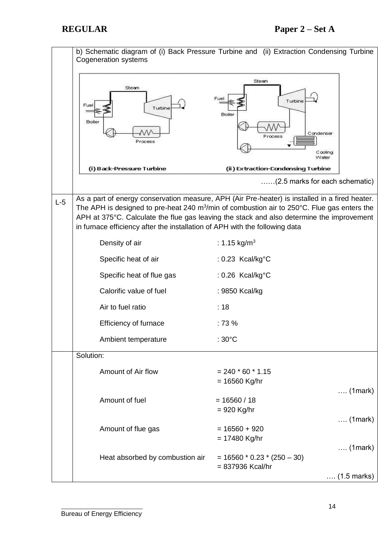|       | b) Schematic diagram of (i) Back Pressure Turbine and (ii) Extraction Condensing Turbine<br><b>Cogeneration systems</b><br>Steam<br>Steam<br>Fuel<br>Turbine<br>Fuel<br>Turbine<br><b>Boiler</b><br><b>Boiler</b><br>Condenser<br>Process<br>Process                                                                                                                                    |                                                                                                 |  |  |  |  |
|-------|-----------------------------------------------------------------------------------------------------------------------------------------------------------------------------------------------------------------------------------------------------------------------------------------------------------------------------------------------------------------------------------------|-------------------------------------------------------------------------------------------------|--|--|--|--|
|       |                                                                                                                                                                                                                                                                                                                                                                                         | Cooling<br>Water                                                                                |  |  |  |  |
|       | (i) Back-Pressure Turbine                                                                                                                                                                                                                                                                                                                                                               | (ii) Extraction-Condensing Turbine<br>(2.5 marks for each schematic)                            |  |  |  |  |
|       |                                                                                                                                                                                                                                                                                                                                                                                         |                                                                                                 |  |  |  |  |
| $L-5$ | As a part of energy conservation measure, APH (Air Pre-heater) is installed in a fired heater.<br>The APH is designed to pre-heat 240 $m^3/m$ in of combustion air to 250 $^{\circ}$ C. Flue gas enters the<br>APH at 375°C. Calculate the flue gas leaving the stack and also determine the improvement<br>in furnace efficiency after the installation of APH with the following data |                                                                                                 |  |  |  |  |
|       | Density of air                                                                                                                                                                                                                                                                                                                                                                          | : 1.15 kg/m <sup>3</sup>                                                                        |  |  |  |  |
|       | Specific heat of air                                                                                                                                                                                                                                                                                                                                                                    | : 0.23 Kcal/kg°C                                                                                |  |  |  |  |
|       | Specific heat of flue gas                                                                                                                                                                                                                                                                                                                                                               | : 0.26 Kcal/kg°C                                                                                |  |  |  |  |
|       | Calorific value of fuel                                                                                                                                                                                                                                                                                                                                                                 | : 9850 Kcal/kg                                                                                  |  |  |  |  |
|       | Air to fuel ratio                                                                                                                                                                                                                                                                                                                                                                       | :18                                                                                             |  |  |  |  |
|       | Efficiency of furnace                                                                                                                                                                                                                                                                                                                                                                   | :73%                                                                                            |  |  |  |  |
|       | Ambient temperature                                                                                                                                                                                                                                                                                                                                                                     | : $30^{\circ}$ C                                                                                |  |  |  |  |
|       | Solution:                                                                                                                                                                                                                                                                                                                                                                               |                                                                                                 |  |  |  |  |
|       | Amount of Air flow                                                                                                                                                                                                                                                                                                                                                                      | $= 240 * 60 * 1.15$<br>$= 16560$ Kg/hr                                                          |  |  |  |  |
|       | Amount of fuel                                                                                                                                                                                                                                                                                                                                                                          | $\ldots$ (1 mark)<br>$= 16560 / 18$<br>$= 920$ Kg/hr                                            |  |  |  |  |
|       | Amount of flue gas                                                                                                                                                                                                                                                                                                                                                                      | $\ldots$ (1 mark)<br>$= 16560 + 920$<br>$= 17480$ Kg/hr                                         |  |  |  |  |
|       | Heat absorbed by combustion air                                                                                                                                                                                                                                                                                                                                                         | $\ldots$ (1 mark)<br>$= 16560 * 0.23 * (250 - 30)$<br>= 837936 Kcal/hr<br>$(1.5 \text{ marks})$ |  |  |  |  |
|       |                                                                                                                                                                                                                                                                                                                                                                                         |                                                                                                 |  |  |  |  |